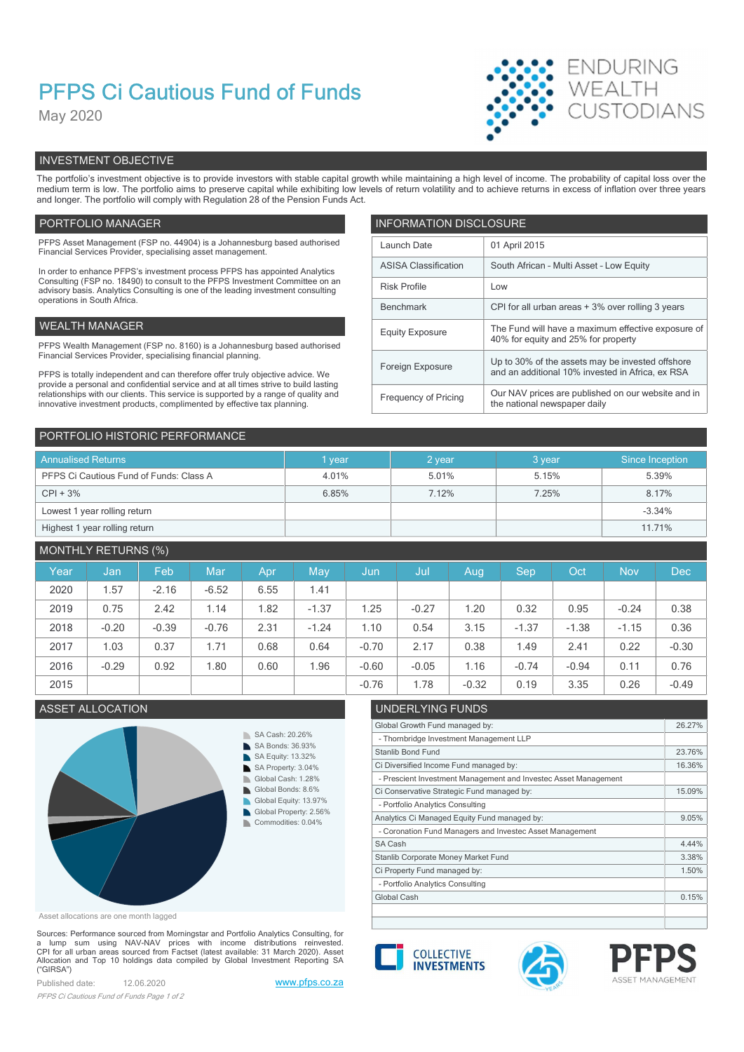# PFPS Ci Cautious Fund of Funds

May 2020



# INVESTMENT OBJECTIVE

The portfolio's investment objective is to provide investors with stable capital growth while maintaining a high level of income. The probability of capital loss over the medium term is low. The portfolio aims to preserve capital while exhibiting low levels of return volatility and to achieve returns in excess of inflation over three years and longer. The portfolio will comply with Regulation 28 of the Pension Funds Act.

## PORTFOLIO MANAGER **INFORMATION DISCLOSURE**

| PFPS Asset Management (FSP no. 44904) is a Johannesburg based authorised<br>Financial Services Provider, specialising asset management.                                | Launch Date                                                                                                              | 01 April 2015                                                                             |  |  |
|------------------------------------------------------------------------------------------------------------------------------------------------------------------------|--------------------------------------------------------------------------------------------------------------------------|-------------------------------------------------------------------------------------------|--|--|
| In order to enhance PFPS's investment process PFPS has appointed Analytics                                                                                             | <b>ASISA Classification</b>                                                                                              | South African - Multi Asset - Low Equity                                                  |  |  |
| Consulting (FSP no. 18490) to consult to the PFPS Investment Committee on an<br>advisory basis. Analytics Consulting is one of the leading investment consulting       | <b>Risk Profile</b>                                                                                                      | Low                                                                                       |  |  |
| operations in South Africa.                                                                                                                                            | Benchmark                                                                                                                | CPI for all urban areas + 3% over rolling 3 years                                         |  |  |
| WEALTH MANAGER                                                                                                                                                         | <b>Equity Exposure</b>                                                                                                   | The Fund will have a maximum effective exposure of<br>40% for equity and 25% for property |  |  |
| PFPS Wealth Management (FSP no. 8160) is a Johannesburg based authorised                                                                                               |                                                                                                                          |                                                                                           |  |  |
| Financial Services Provider, specialising financial planning.                                                                                                          | Up to 30% of the assets may be invested offshore<br>Foreign Exposure<br>and an additional 10% invested in Africa, ex RSA |                                                                                           |  |  |
| PFPS is totally independent and can therefore offer truly objective advice. We<br>provide a personal and confidential service and at all times strive to build lasting |                                                                                                                          |                                                                                           |  |  |
| relationships with our clients. This service is supported by a range of quality and<br>innovative investment products, complimented by effective tax planning.         | Frequency of Pricing                                                                                                     | Our NAV prices are published on our website and in<br>the national newspaper daily        |  |  |
|                                                                                                                                                                        |                                                                                                                          |                                                                                           |  |  |

| PORTFOLIO HISTORIC PERFORMANCE          |        |        |         |                 |  |  |  |  |
|-----------------------------------------|--------|--------|---------|-----------------|--|--|--|--|
| <b>Annualised Returns</b>               | 1 year | 2 year | 3 year. | Since Inception |  |  |  |  |
| PFPS Ci Cautious Fund of Funds: Class A | 4.01%  | 5.01%  | 5.15%   | 5.39%           |  |  |  |  |
| $CPI + 3%$                              | 6.85%  | 7.12%  | 7.25%   | 8.17%           |  |  |  |  |
| Lowest 1 year rolling return            |        |        |         | $-3.34%$        |  |  |  |  |
| Highest 1 year rolling return           |        |        |         | 11.71%          |  |  |  |  |

# MONTHLY RETURNS (%)

| Year | Jan,    | Feb     | Mar     | Apr  | May     | Jun,    | Jul     | Aug     | <b>Sep</b> | Oct     | <b>Nov</b> | <b>Dec</b> |
|------|---------|---------|---------|------|---------|---------|---------|---------|------------|---------|------------|------------|
| 2020 | .57     | $-2.16$ | $-6.52$ | 6.55 | 1.41    |         |         |         |            |         |            |            |
| 2019 | 0.75    | 2.42    | 1.14    | .82  | $-1.37$ | 1.25    | $-0.27$ | 1.20    | 0.32       | 0.95    | $-0.24$    | 0.38       |
| 2018 | $-0.20$ | $-0.39$ | $-0.76$ | 2.31 | $-1.24$ | 1.10    | 0.54    | 3.15    | $-1.37$    | $-1.38$ | $-1.15$    | 0.36       |
| 2017 | 1.03    | 0.37    | 1.71    | 0.68 | 0.64    | $-0.70$ | 2.17    | 0.38    | 1.49       | 2.41    | 0.22       | $-0.30$    |
| 2016 | $-0.29$ | 0.92    | 1.80    | 0.60 | 96.،    | $-0.60$ | $-0.05$ | 1.16    | $-0.74$    | $-0.94$ | 0.11       | 0.76       |
| 2015 |         |         |         |      |         | $-0.76$ | .78     | $-0.32$ | 0.19       | 3.35    | 0.26       | $-0.49$    |

# ASSET ALLOCATION UNDERLYING FUNDS



Asset allocations are one month lagged

Sources: Performance sourced from Morningstar and Portfolio Analytics Consulting, for<br>a \_ lump \_ sum \_ using \_ NAV-NAV \_ prices \_ with \_ income\_distributions\_\_reinvested.<br>CPI for all urban areas sourced from Factset (lates CPI for all urban areas sourced from Factset (latest available: 31 March 2020). Asset<br>Allocation and Top 10 holdings data compiled by Global Investment Reporting SA **COLLECTIVE INVESTMENTS**  $($ "GIRSA")

Published date: 12.06.2020 www.pfps.co.za PFPS Ci Cautious Fund of Funds Page 1 of 2



- Portfolio Analytics Consulting

- Portfolio Analytics Consulting

- Thornbridge Investment Management LLP



Global Growth Fund managed by: 26.27%

Ci Diversified Income Fund managed by: 16.36%

Ci Conservative Strategic Fund managed by: 15.09%

Analytics Ci Managed Equity Fund managed by: 9.05%

Ci Property Fund managed by: 1.50% Stanlib Corporate Money Market Fund 3.38%

- Prescient Investment Management and Investec Asset Management

- Coronation Fund Managers and Investec Asset Management



Stanlib Bond Fund 23.76%

SA Cash **4.44%** 

Global Cash 0.15% and 0.15% and 0.15% and 0.15% and 0.15% and 0.15% and 0.15% and 0.15% and 0.15% and 0.15% and 0.15% and 0.15% and 0.15% and 0.15% and 0.15% and 0.15% and 0.15% and 0.15% and 0.15% and 0.15% and 0.15% and